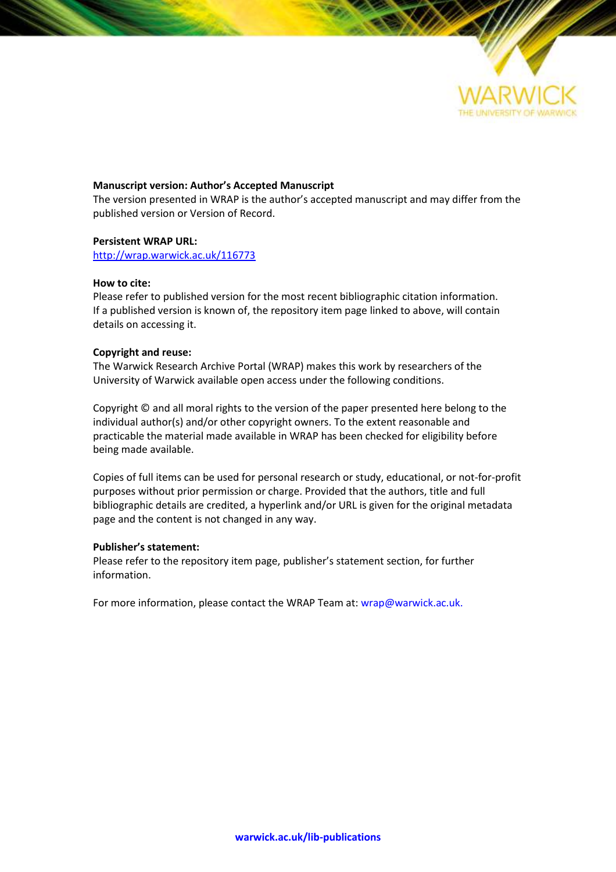

### **Manuscript version: Author's Accepted Manuscript**

The version presented in WRAP is the author's accepted manuscript and may differ from the published version or Version of Record.

### **Persistent WRAP URL:**

<http://wrap.warwick.ac.uk/116773>

### **How to cite:**

Please refer to published version for the most recent bibliographic citation information. If a published version is known of, the repository item page linked to above, will contain details on accessing it.

### **Copyright and reuse:**

The Warwick Research Archive Portal (WRAP) makes this work by researchers of the University of Warwick available open access under the following conditions.

Copyright © and all moral rights to the version of the paper presented here belong to the individual author(s) and/or other copyright owners. To the extent reasonable and practicable the material made available in WRAP has been checked for eligibility before being made available.

Copies of full items can be used for personal research or study, educational, or not-for-profit purposes without prior permission or charge. Provided that the authors, title and full bibliographic details are credited, a hyperlink and/or URL is given for the original metadata page and the content is not changed in any way.

### **Publisher's statement:**

Please refer to the repository item page, publisher's statement section, for further information.

For more information, please contact the WRAP Team at[: wrap@warwick.ac.uk.](mailto:wrap@warwick.ac.uk)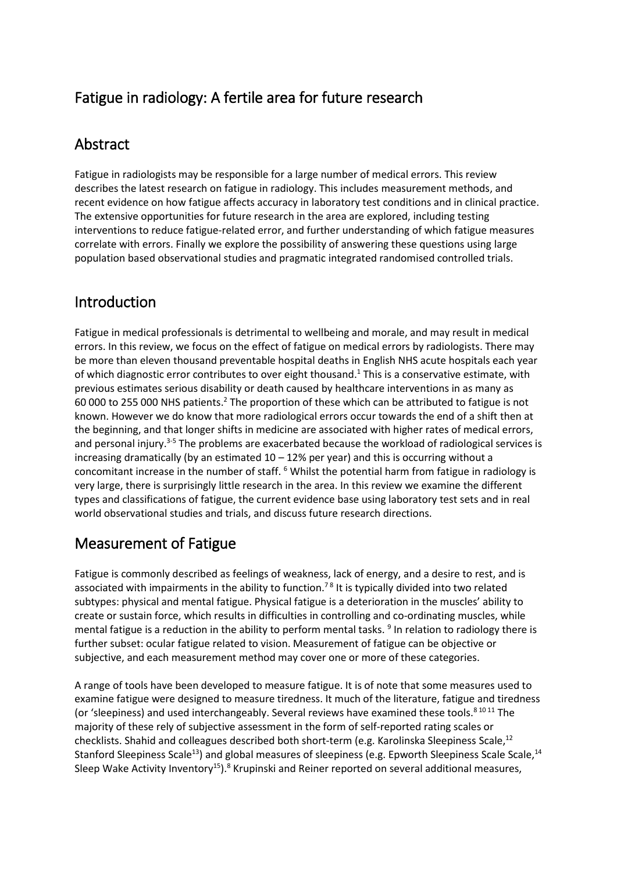## Fatigue in radiology: A fertile area for future research

## Abstract

Fatigue in radiologists may be responsible for a large number of medical errors. This review describes the latest research on fatigue in radiology. This includes measurement methods, and recent evidence on how fatigue affects accuracy in laboratory test conditions and in clinical practice. The extensive opportunities for future research in the area are explored, including testing interventions to reduce fatigue-related error, and further understanding of which fatigue measures correlate with errors. Finally we explore the possibility of answering these questions using large population based observational studies and pragmatic integrated randomised controlled trials.

## Introduction

Fatigue in medical professionals is detrimental to wellbeing and morale, and may result in medical errors. In this review, we focus on the effect of fatigue on medical errors by radiologists. There may be more than eleven thousand preventable hospital deaths in English NHS acute hospitals each year of which diagnostic error contributes to over eight thousand.<sup>1</sup> This is a conservative estimate, with previous estimates serious disability or death caused by healthcare interventions in as many as 60 000 to 255 000 NHS patients.<sup>2</sup> The proportion of these which can be attributed to fatigue is not known. However we do know that more radiological errors occur towards the end of a shift then at the beginning, and that longer shifts in medicine are associated with higher rates of medical errors, and personal injury.<sup>3-5</sup> The problems are exacerbated because the workload of radiological services is increasing dramatically (by an estimated  $10 - 12%$  per year) and this is occurring without a concomitant increase in the number of staff. <sup>6</sup> Whilst the potential harm from fatigue in radiology is very large, there is surprisingly little research in the area. In this review we examine the different types and classifications of fatigue, the current evidence base using laboratory test sets and in real world observational studies and trials, and discuss future research directions.

# Measurement of Fatigue

Fatigue is commonly described as feelings of weakness, lack of energy, and a desire to rest, and is associated with impairments in the ability to function.<sup>78</sup> It is typically divided into two related subtypes: physical and mental fatigue. Physical fatigue is a deterioration in the muscles' ability to create or sustain force, which results in difficulties in controlling and co-ordinating muscles, while mental fatigue is a reduction in the ability to perform mental tasks. 9 In relation to radiology there is further subset: ocular fatigue related to vision. Measurement of fatigue can be objective or subjective, and each measurement method may cover one or more of these categories.

A range of tools have been developed to measure fatigue. It is of note that some measures used to examine fatigue were designed to measure tiredness. It much of the literature, fatigue and tiredness (or 'sleepiness) and used interchangeably. Several reviews have examined these tools.<sup>8 10 11</sup> The majority of these rely of subjective assessment in the form of self-reported rating scales or checklists. Shahid and colleagues described both short-term (e.g. Karolinska Sleepiness Scale,<sup>12</sup> Stanford Sleepiness Scale<sup>13</sup>) and global measures of sleepiness (e.g. Epworth Sleepiness Scale Scale,<sup>14</sup> Sleep Wake Activity Inventory<sup>15</sup>).<sup>8</sup> Krupinski and Reiner reported on several additional measures,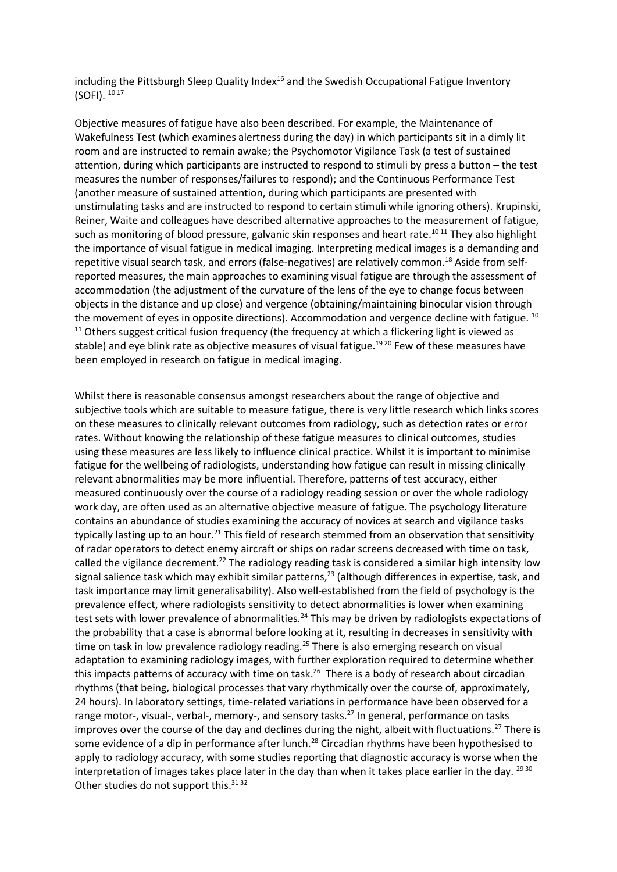including the Pittsburgh Sleep Quality Index<sup>16</sup> and the Swedish Occupational Fatigue Inventory (SOFI). 10 17

Objective measures of fatigue have also been described. For example, the Maintenance of Wakefulness Test (which examines alertness during the day) in which participants sit in a dimly lit room and are instructed to remain awake; the Psychomotor Vigilance Task (a test of sustained attention, during which participants are instructed to respond to stimuli by press a button – the test measures the number of responses/failures to respond); and the Continuous Performance Test (another measure of sustained attention, during which participants are presented with unstimulating tasks and are instructed to respond to certain stimuli while ignoring others). Krupinski, Reiner, Waite and colleagues have described alternative approaches to the measurement of fatigue, such as monitoring of blood pressure, galvanic skin responses and heart rate.<sup>1011</sup> They also highlight the importance of visual fatigue in medical imaging. Interpreting medical images is a demanding and repetitive visual search task, and errors (false-negatives) are relatively common.<sup>18</sup> Aside from selfreported measures, the main approaches to examining visual fatigue are through the assessment of accommodation (the adjustment of the curvature of the lens of the eye to change focus between objects in the distance and up close) and vergence (obtaining/maintaining binocular vision through the movement of eyes in opposite directions). Accommodation and vergence decline with fatigue. <sup>10</sup>  $11$  Others suggest critical fusion frequency (the frequency at which a flickering light is viewed as stable) and eye blink rate as objective measures of visual fatigue.<sup>1920</sup> Few of these measures have been employed in research on fatigue in medical imaging.

Whilst there is reasonable consensus amongst researchers about the range of objective and subjective tools which are suitable to measure fatigue, there is very little research which links scores on these measures to clinically relevant outcomes from radiology, such as detection rates or error rates. Without knowing the relationship of these fatigue measures to clinical outcomes, studies using these measures are less likely to influence clinical practice. Whilst it is important to minimise fatigue for the wellbeing of radiologists, understanding how fatigue can result in missing clinically relevant abnormalities may be more influential. Therefore, patterns of test accuracy, either measured continuously over the course of a radiology reading session or over the whole radiology work day, are often used as an alternative objective measure of fatigue. The psychology literature contains an abundance of studies examining the accuracy of novices at search and vigilance tasks typically lasting up to an hour.<sup>21</sup> This field of research stemmed from an observation that sensitivity of radar operators to detect enemy aircraft or ships on radar screens decreased with time on task, called the vigilance decrement.<sup>22</sup> The radiology reading task is considered a similar high intensity low signal salience task which may exhibit similar patterns,<sup>23</sup> (although differences in expertise, task, and task importance may limit generalisability). Also well-established from the field of psychology is the prevalence effect, where radiologists sensitivity to detect abnormalities is lower when examining test sets with lower prevalence of abnormalities.<sup>24</sup> This may be driven by radiologists expectations of the probability that a case is abnormal before looking at it, resulting in decreases in sensitivity with time on task in low prevalence radiology reading.<sup>25</sup> There is also emerging research on visual adaptation to examining radiology images, with further exploration required to determine whether this impacts patterns of accuracy with time on task.<sup>26</sup> There is a body of research about circadian rhythms (that being, biological processes that vary rhythmically over the course of, approximately, 24 hours). In laboratory settings, time-related variations in performance have been observed for a range motor-, visual-, verbal-, memory-, and sensory tasks.<sup>27</sup> In general, performance on tasks improves over the course of the day and declines during the night, albeit with fluctuations.<sup>27</sup> There is some evidence of a dip in performance after lunch.<sup>28</sup> Circadian rhythms have been hypothesised to apply to radiology accuracy, with some studies reporting that diagnostic accuracy is worse when the interpretation of images takes place later in the day than when it takes place earlier in the day. <sup>29 30</sup> Other studies do not support this.<sup>3132</sup>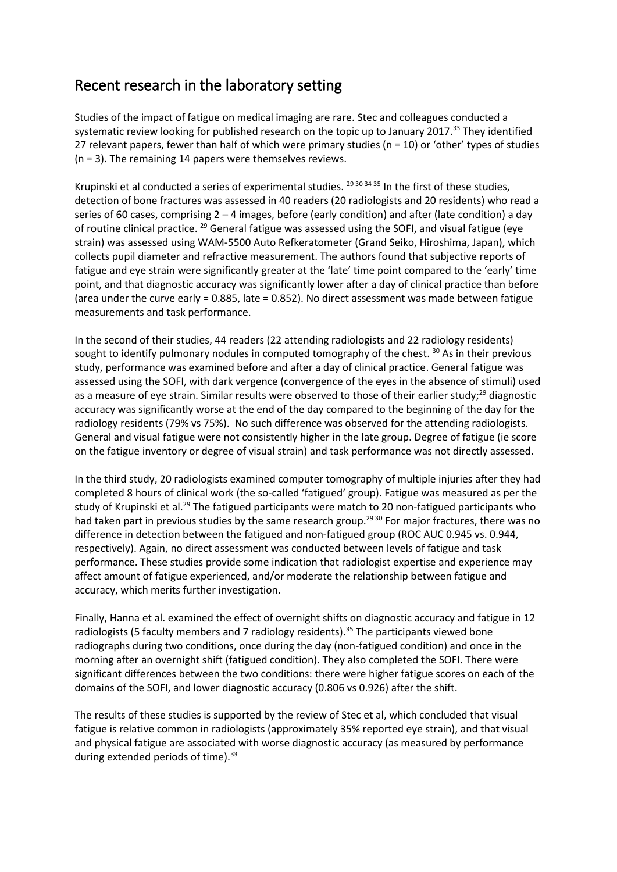## Recent research in the laboratory setting

Studies of the impact of fatigue on medical imaging are rare. Stec and colleagues conducted a systematic review looking for published research on the topic up to January 2017.<sup>33</sup> They identified 27 relevant papers, fewer than half of which were primary studies (n = 10) or 'other' types of studies (n = 3). The remaining 14 papers were themselves reviews.

Krupinski et al conducted a series of experimental studies.  $^{29\,30\,34\,35}$  In the first of these studies, detection of bone fractures was assessed in 40 readers (20 radiologists and 20 residents) who read a series of 60 cases, comprising  $2 - 4$  images, before (early condition) and after (late condition) a day of routine clinical practice. <sup>29</sup> General fatigue was assessed using the SOFI, and visual fatigue (eye strain) was assessed using WAM-5500 Auto Refkeratometer (Grand Seiko, Hiroshima, Japan), which collects pupil diameter and refractive measurement. The authors found that subjective reports of fatigue and eye strain were significantly greater at the 'late' time point compared to the 'early' time point, and that diagnostic accuracy was significantly lower after a day of clinical practice than before (area under the curve early = 0.885, late = 0.852). No direct assessment was made between fatigue measurements and task performance.

In the second of their studies, 44 readers (22 attending radiologists and 22 radiology residents) sought to identify pulmonary nodules in computed tomography of the chest. <sup>30</sup> As in their previous study, performance was examined before and after a day of clinical practice. General fatigue was assessed using the SOFI, with dark vergence (convergence of the eyes in the absence of stimuli) used as a measure of eye strain. Similar results were observed to those of their earlier study;<sup>29</sup> diagnostic accuracy was significantly worse at the end of the day compared to the beginning of the day for the radiology residents (79% vs 75%). No such difference was observed for the attending radiologists. General and visual fatigue were not consistently higher in the late group. Degree of fatigue (ie score on the fatigue inventory or degree of visual strain) and task performance was not directly assessed.

In the third study, 20 radiologists examined computer tomography of multiple injuries after they had completed 8 hours of clinical work (the so-called 'fatigued' group). Fatigue was measured as per the study of Krupinski et al.<sup>29</sup> The fatigued participants were match to 20 non-fatigued participants who had taken part in previous studies by the same research group.<sup>2930</sup> For major fractures, there was no difference in detection between the fatigued and non-fatigued group (ROC AUC 0.945 vs. 0.944, respectively). Again, no direct assessment was conducted between levels of fatigue and task performance. These studies provide some indication that radiologist expertise and experience may affect amount of fatigue experienced, and/or moderate the relationship between fatigue and accuracy, which merits further investigation.

Finally, Hanna et al. examined the effect of overnight shifts on diagnostic accuracy and fatigue in 12 radiologists (5 faculty members and 7 radiology residents).<sup>35</sup> The participants viewed bone radiographs during two conditions, once during the day (non-fatigued condition) and once in the morning after an overnight shift (fatigued condition). They also completed the SOFI. There were significant differences between the two conditions: there were higher fatigue scores on each of the domains of the SOFI, and lower diagnostic accuracy (0.806 vs 0.926) after the shift.

The results of these studies is supported by the review of Stec et al, which concluded that visual fatigue is relative common in radiologists (approximately 35% reported eye strain), and that visual and physical fatigue are associated with worse diagnostic accuracy (as measured by performance during extended periods of time). $33$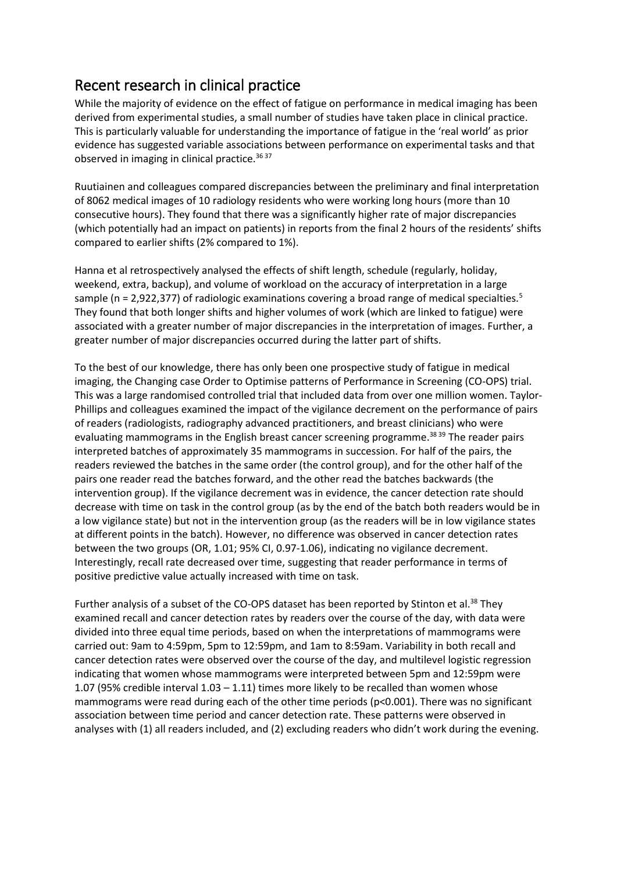## Recent research in clinical practice

While the majority of evidence on the effect of fatigue on performance in medical imaging has been derived from experimental studies, a small number of studies have taken place in clinical practice. This is particularly valuable for understanding the importance of fatigue in the 'real world' as prior evidence has suggested variable associations between performance on experimental tasks and that observed in imaging in clinical practice.<sup>36 37</sup>

Ruutiainen and colleagues compared discrepancies between the preliminary and final interpretation of 8062 medical images of 10 radiology residents who were working long hours (more than 10 consecutive hours). They found that there was a significantly higher rate of major discrepancies (which potentially had an impact on patients) in reports from the final 2 hours of the residents' shifts compared to earlier shifts (2% compared to 1%).

Hanna et al retrospectively analysed the effects of shift length, schedule (regularly, holiday, weekend, extra, backup), and volume of workload on the accuracy of interpretation in a large sample (n = 2,922,377) of radiologic examinations covering a broad range of medical specialties.<sup>5</sup> They found that both longer shifts and higher volumes of work (which are linked to fatigue) were associated with a greater number of major discrepancies in the interpretation of images. Further, a greater number of major discrepancies occurred during the latter part of shifts.

To the best of our knowledge, there has only been one prospective study of fatigue in medical imaging, the Changing case Order to Optimise patterns of Performance in Screening (CO-OPS) trial. This was a large randomised controlled trial that included data from over one million women. Taylor-Phillips and colleagues examined the impact of the vigilance decrement on the performance of pairs of readers (radiologists, radiography advanced practitioners, and breast clinicians) who were evaluating mammograms in the English breast cancer screening programme.<sup>38 39</sup> The reader pairs interpreted batches of approximately 35 mammograms in succession. For half of the pairs, the readers reviewed the batches in the same order (the control group), and for the other half of the pairs one reader read the batches forward, and the other read the batches backwards (the intervention group). If the vigilance decrement was in evidence, the cancer detection rate should decrease with time on task in the control group (as by the end of the batch both readers would be in a low vigilance state) but not in the intervention group (as the readers will be in low vigilance states at different points in the batch). However, no difference was observed in cancer detection rates between the two groups (OR, 1.01; 95% CI, 0.97-1.06), indicating no vigilance decrement. Interestingly, recall rate decreased over time, suggesting that reader performance in terms of positive predictive value actually increased with time on task.

Further analysis of a subset of the CO-OPS dataset has been reported by Stinton et al.<sup>38</sup> They examined recall and cancer detection rates by readers over the course of the day, with data were divided into three equal time periods, based on when the interpretations of mammograms were carried out: 9am to 4:59pm, 5pm to 12:59pm, and 1am to 8:59am. Variability in both recall and cancer detection rates were observed over the course of the day, and multilevel logistic regression indicating that women whose mammograms were interpreted between 5pm and 12:59pm were 1.07 (95% credible interval 1.03 – 1.11) times more likely to be recalled than women whose mammograms were read during each of the other time periods (p<0.001). There was no significant association between time period and cancer detection rate. These patterns were observed in analyses with (1) all readers included, and (2) excluding readers who didn't work during the evening.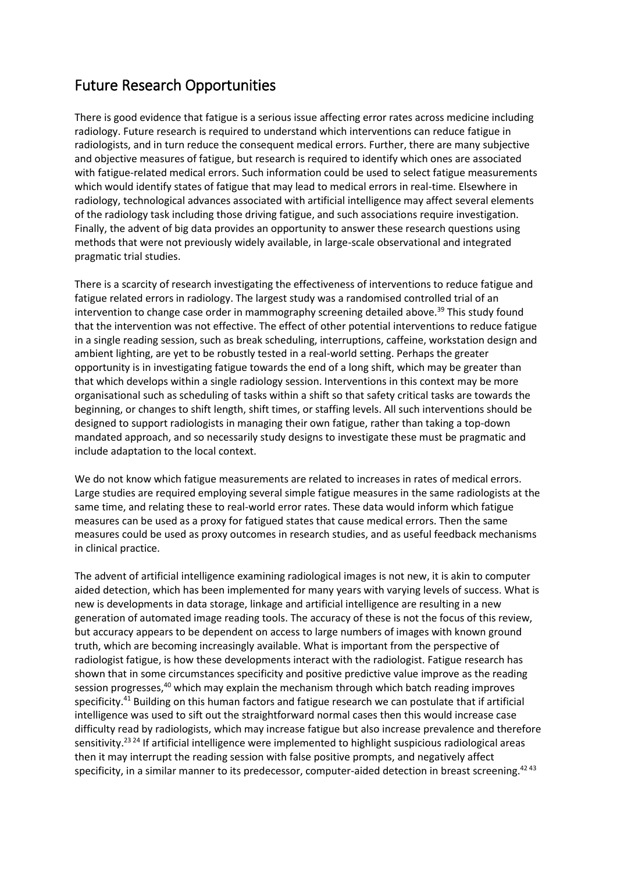## Future Research Opportunities

There is good evidence that fatigue is a serious issue affecting error rates across medicine including radiology. Future research is required to understand which interventions can reduce fatigue in radiologists, and in turn reduce the consequent medical errors. Further, there are many subjective and objective measures of fatigue, but research is required to identify which ones are associated with fatigue-related medical errors. Such information could be used to select fatigue measurements which would identify states of fatigue that may lead to medical errors in real-time. Elsewhere in radiology, technological advances associated with artificial intelligence may affect several elements of the radiology task including those driving fatigue, and such associations require investigation. Finally, the advent of big data provides an opportunity to answer these research questions using methods that were not previously widely available, in large-scale observational and integrated pragmatic trial studies.

There is a scarcity of research investigating the effectiveness of interventions to reduce fatigue and fatigue related errors in radiology. The largest study was a randomised controlled trial of an intervention to change case order in mammography screening detailed above.<sup>39</sup> This study found that the intervention was not effective. The effect of other potential interventions to reduce fatigue in a single reading session, such as break scheduling, interruptions, caffeine, workstation design and ambient lighting, are yet to be robustly tested in a real-world setting. Perhaps the greater opportunity is in investigating fatigue towards the end of a long shift, which may be greater than that which develops within a single radiology session. Interventions in this context may be more organisational such as scheduling of tasks within a shift so that safety critical tasks are towards the beginning, or changes to shift length, shift times, or staffing levels. All such interventions should be designed to support radiologists in managing their own fatigue, rather than taking a top-down mandated approach, and so necessarily study designs to investigate these must be pragmatic and include adaptation to the local context.

We do not know which fatigue measurements are related to increases in rates of medical errors. Large studies are required employing several simple fatigue measures in the same radiologists at the same time, and relating these to real-world error rates. These data would inform which fatigue measures can be used as a proxy for fatigued states that cause medical errors. Then the same measures could be used as proxy outcomes in research studies, and as useful feedback mechanisms in clinical practice.

The advent of artificial intelligence examining radiological images is not new, it is akin to computer aided detection, which has been implemented for many years with varying levels of success. What is new is developments in data storage, linkage and artificial intelligence are resulting in a new generation of automated image reading tools. The accuracy of these is not the focus of this review, but accuracy appears to be dependent on access to large numbers of images with known ground truth, which are becoming increasingly available. What is important from the perspective of radiologist fatigue, is how these developments interact with the radiologist. Fatigue research has shown that in some circumstances specificity and positive predictive value improve as the reading session progresses,<sup>40</sup> which may explain the mechanism through which batch reading improves specificity.<sup>41</sup> Building on this human factors and fatigue research we can postulate that if artificial intelligence was used to sift out the straightforward normal cases then this would increase case difficulty read by radiologists, which may increase fatigue but also increase prevalence and therefore sensitivity.<sup>23 24</sup> If artificial intelligence were implemented to highlight suspicious radiological areas then it may interrupt the reading session with false positive prompts, and negatively affect specificity, in a similar manner to its predecessor, computer-aided detection in breast screening.<sup>4243</sup>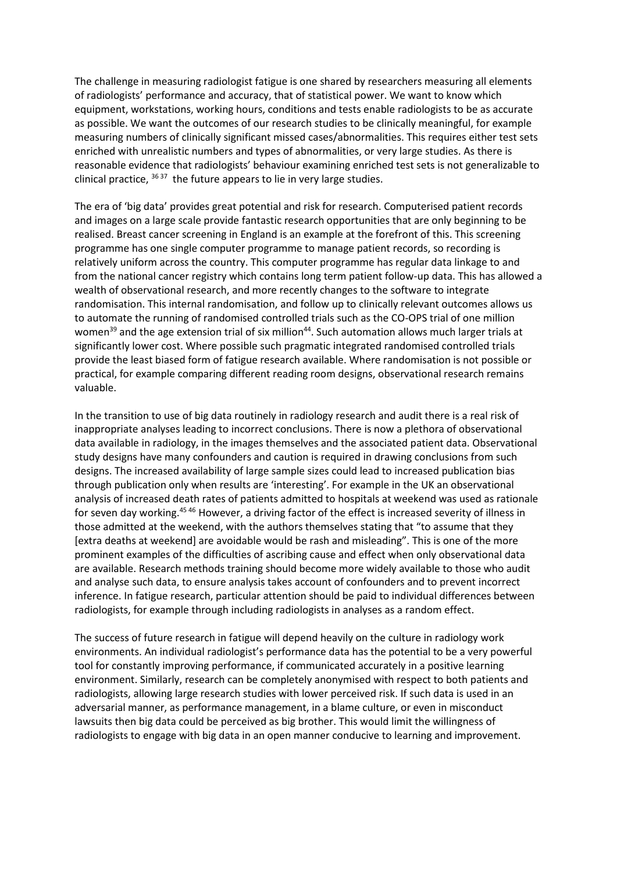The challenge in measuring radiologist fatigue is one shared by researchers measuring all elements of radiologists' performance and accuracy, that of statistical power. We want to know which equipment, workstations, working hours, conditions and tests enable radiologists to be as accurate as possible. We want the outcomes of our research studies to be clinically meaningful, for example measuring numbers of clinically significant missed cases/abnormalities. This requires either test sets enriched with unrealistic numbers and types of abnormalities, or very large studies. As there is reasonable evidence that radiologists' behaviour examining enriched test sets is not generalizable to clinical practice,  $36\,37$  the future appears to lie in very large studies.

The era of 'big data' provides great potential and risk for research. Computerised patient records and images on a large scale provide fantastic research opportunities that are only beginning to be realised. Breast cancer screening in England is an example at the forefront of this. This screening programme has one single computer programme to manage patient records, so recording is relatively uniform across the country. This computer programme has regular data linkage to and from the national cancer registry which contains long term patient follow-up data. This has allowed a wealth of observational research, and more recently changes to the software to integrate randomisation. This internal randomisation, and follow up to clinically relevant outcomes allows us to automate the running of randomised controlled trials such as the CO-OPS trial of one million women<sup>39</sup> and the age extension trial of six million<sup>44</sup>. Such automation allows much larger trials at significantly lower cost. Where possible such pragmatic integrated randomised controlled trials provide the least biased form of fatigue research available. Where randomisation is not possible or practical, for example comparing different reading room designs, observational research remains valuable.

In the transition to use of big data routinely in radiology research and audit there is a real risk of inappropriate analyses leading to incorrect conclusions. There is now a plethora of observational data available in radiology, in the images themselves and the associated patient data. Observational study designs have many confounders and caution is required in drawing conclusions from such designs. The increased availability of large sample sizes could lead to increased publication bias through publication only when results are 'interesting'. For example in the UK an observational analysis of increased death rates of patients admitted to hospitals at weekend was used as rationale for seven day working.45 46 However, a driving factor of the effect is increased severity of illness in those admitted at the weekend, with the authors themselves stating that "to assume that they [extra deaths at weekend] are avoidable would be rash and misleading". This is one of the more prominent examples of the difficulties of ascribing cause and effect when only observational data are available. Research methods training should become more widely available to those who audit and analyse such data, to ensure analysis takes account of confounders and to prevent incorrect inference. In fatigue research, particular attention should be paid to individual differences between radiologists, for example through including radiologists in analyses as a random effect.

The success of future research in fatigue will depend heavily on the culture in radiology work environments. An individual radiologist's performance data has the potential to be a very powerful tool for constantly improving performance, if communicated accurately in a positive learning environment. Similarly, research can be completely anonymised with respect to both patients and radiologists, allowing large research studies with lower perceived risk. If such data is used in an adversarial manner, as performance management, in a blame culture, or even in misconduct lawsuits then big data could be perceived as big brother. This would limit the willingness of radiologists to engage with big data in an open manner conducive to learning and improvement.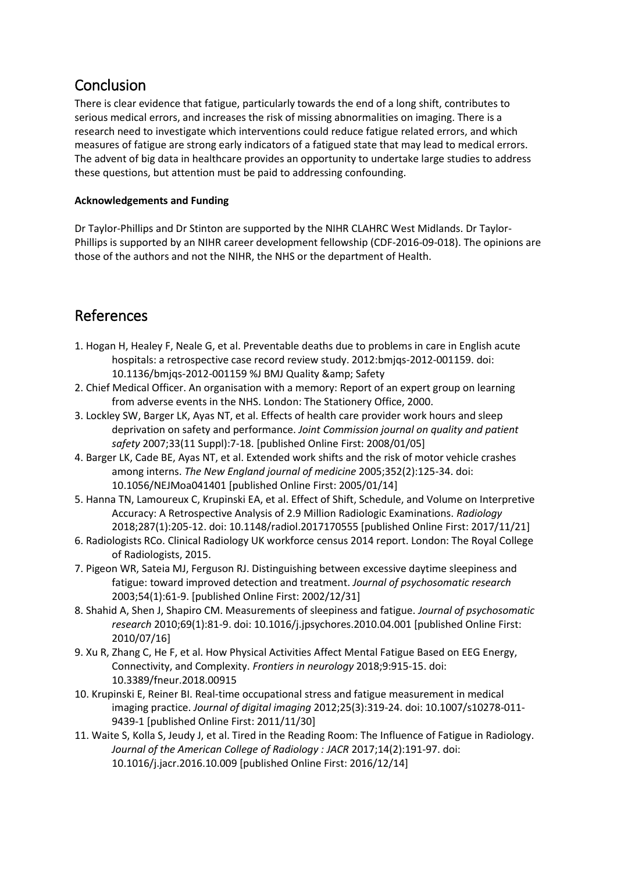### Conclusion

There is clear evidence that fatigue, particularly towards the end of a long shift, contributes to serious medical errors, and increases the risk of missing abnormalities on imaging. There is a research need to investigate which interventions could reduce fatigue related errors, and which measures of fatigue are strong early indicators of a fatigued state that may lead to medical errors. The advent of big data in healthcare provides an opportunity to undertake large studies to address these questions, but attention must be paid to addressing confounding.

### **Acknowledgements and Funding**

Dr Taylor-Phillips and Dr Stinton are supported by the NIHR CLAHRC West Midlands. Dr Taylor-Phillips is supported by an NIHR career development fellowship (CDF-2016-09-018). The opinions are those of the authors and not the NIHR, the NHS or the department of Health.

## References

- 1. Hogan H, Healey F, Neale G, et al. Preventable deaths due to problems in care in English acute hospitals: a retrospective case record review study. 2012:bmjqs-2012-001159. doi: 10.1136/bmjqs-2012-001159 %J BMJ Quality & amp; Safety
- 2. Chief Medical Officer. An organisation with a memory: Report of an expert group on learning from adverse events in the NHS. London: The Stationery Office, 2000.
- 3. Lockley SW, Barger LK, Ayas NT, et al. Effects of health care provider work hours and sleep deprivation on safety and performance. *Joint Commission journal on quality and patient safety* 2007;33(11 Suppl):7-18. [published Online First: 2008/01/05]
- 4. Barger LK, Cade BE, Ayas NT, et al. Extended work shifts and the risk of motor vehicle crashes among interns. *The New England journal of medicine* 2005;352(2):125-34. doi: 10.1056/NEJMoa041401 [published Online First: 2005/01/14]
- 5. Hanna TN, Lamoureux C, Krupinski EA, et al. Effect of Shift, Schedule, and Volume on Interpretive Accuracy: A Retrospective Analysis of 2.9 Million Radiologic Examinations. *Radiology* 2018;287(1):205-12. doi: 10.1148/radiol.2017170555 [published Online First: 2017/11/21]
- 6. Radiologists RCo. Clinical Radiology UK workforce census 2014 report. London: The Royal College of Radiologists, 2015.
- 7. Pigeon WR, Sateia MJ, Ferguson RJ. Distinguishing between excessive daytime sleepiness and fatigue: toward improved detection and treatment. *Journal of psychosomatic research* 2003;54(1):61-9. [published Online First: 2002/12/31]
- 8. Shahid A, Shen J, Shapiro CM. Measurements of sleepiness and fatigue. *Journal of psychosomatic research* 2010;69(1):81-9. doi: 10.1016/j.jpsychores.2010.04.001 [published Online First: 2010/07/16]
- 9. Xu R, Zhang C, He F, et al. How Physical Activities Affect Mental Fatigue Based on EEG Energy, Connectivity, and Complexity. *Frontiers in neurology* 2018;9:915-15. doi: 10.3389/fneur.2018.00915
- 10. Krupinski E, Reiner BI. Real-time occupational stress and fatigue measurement in medical imaging practice. *Journal of digital imaging* 2012;25(3):319-24. doi: 10.1007/s10278-011- 9439-1 [published Online First: 2011/11/30]
- 11. Waite S, Kolla S, Jeudy J, et al. Tired in the Reading Room: The Influence of Fatigue in Radiology. *Journal of the American College of Radiology : JACR* 2017;14(2):191-97. doi: 10.1016/j.jacr.2016.10.009 [published Online First: 2016/12/14]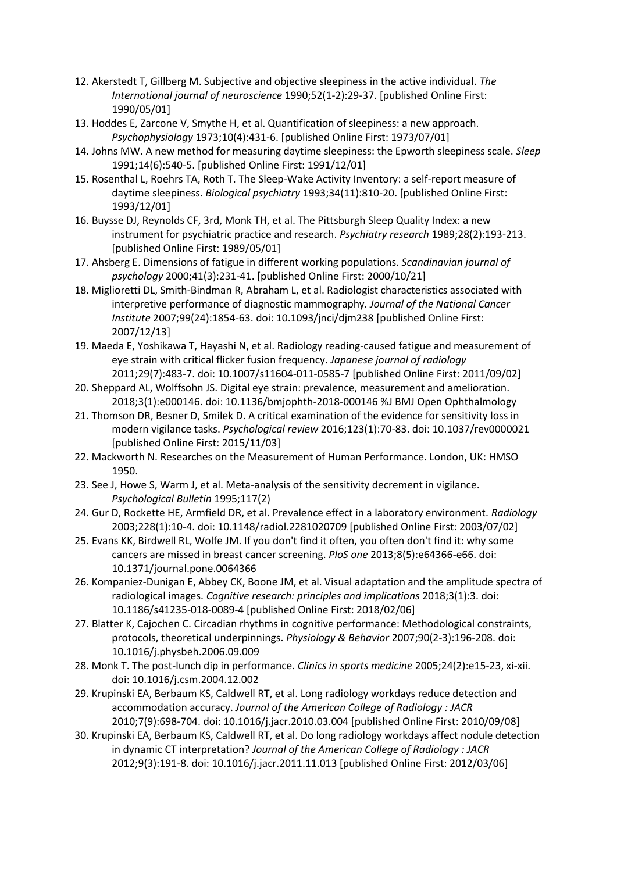- 12. Akerstedt T, Gillberg M. Subjective and objective sleepiness in the active individual. *The International journal of neuroscience* 1990;52(1-2):29-37. [published Online First: 1990/05/01]
- 13. Hoddes E, Zarcone V, Smythe H, et al. Quantification of sleepiness: a new approach. *Psychophysiology* 1973;10(4):431-6. [published Online First: 1973/07/01]
- 14. Johns MW. A new method for measuring daytime sleepiness: the Epworth sleepiness scale. *Sleep* 1991;14(6):540-5. [published Online First: 1991/12/01]
- 15. Rosenthal L, Roehrs TA, Roth T. The Sleep-Wake Activity Inventory: a self-report measure of daytime sleepiness. *Biological psychiatry* 1993;34(11):810-20. [published Online First: 1993/12/01]
- 16. Buysse DJ, Reynolds CF, 3rd, Monk TH, et al. The Pittsburgh Sleep Quality Index: a new instrument for psychiatric practice and research. *Psychiatry research* 1989;28(2):193-213. [published Online First: 1989/05/01]
- 17. Ahsberg E. Dimensions of fatigue in different working populations. *Scandinavian journal of psychology* 2000;41(3):231-41. [published Online First: 2000/10/21]
- 18. Miglioretti DL, Smith-Bindman R, Abraham L, et al. Radiologist characteristics associated with interpretive performance of diagnostic mammography. *Journal of the National Cancer Institute* 2007;99(24):1854-63. doi: 10.1093/jnci/djm238 [published Online First: 2007/12/13]
- 19. Maeda E, Yoshikawa T, Hayashi N, et al. Radiology reading-caused fatigue and measurement of eye strain with critical flicker fusion frequency. *Japanese journal of radiology* 2011;29(7):483-7. doi: 10.1007/s11604-011-0585-7 [published Online First: 2011/09/02]
- 20. Sheppard AL, Wolffsohn JS. Digital eye strain: prevalence, measurement and amelioration. 2018;3(1):e000146. doi: 10.1136/bmjophth-2018-000146 %J BMJ Open Ophthalmology
- 21. Thomson DR, Besner D, Smilek D. A critical examination of the evidence for sensitivity loss in modern vigilance tasks. *Psychological review* 2016;123(1):70-83. doi: 10.1037/rev0000021 [published Online First: 2015/11/03]
- 22. Mackworth N. Researches on the Measurement of Human Performance. London, UK: HMSO 1950.
- 23. See J, Howe S, Warm J, et al. Meta-analysis of the sensitivity decrement in vigilance. *Psychological Bulletin* 1995;117(2)
- 24. Gur D, Rockette HE, Armfield DR, et al. Prevalence effect in a laboratory environment. *Radiology* 2003;228(1):10-4. doi: 10.1148/radiol.2281020709 [published Online First: 2003/07/02]
- 25. Evans KK, Birdwell RL, Wolfe JM. If you don't find it often, you often don't find it: why some cancers are missed in breast cancer screening. *PloS one* 2013;8(5):e64366-e66. doi: 10.1371/journal.pone.0064366
- 26. Kompaniez-Dunigan E, Abbey CK, Boone JM, et al. Visual adaptation and the amplitude spectra of radiological images. *Cognitive research: principles and implications* 2018;3(1):3. doi: 10.1186/s41235-018-0089-4 [published Online First: 2018/02/06]
- 27. Blatter K, Cajochen C. Circadian rhythms in cognitive performance: Methodological constraints, protocols, theoretical underpinnings. *Physiology & Behavior* 2007;90(2-3):196-208. doi: 10.1016/j.physbeh.2006.09.009
- 28. Monk T. The post-lunch dip in performance. *Clinics in sports medicine* 2005;24(2):e15-23, xi-xii. doi: 10.1016/j.csm.2004.12.002
- 29. Krupinski EA, Berbaum KS, Caldwell RT, et al. Long radiology workdays reduce detection and accommodation accuracy. *Journal of the American College of Radiology : JACR* 2010;7(9):698-704. doi: 10.1016/j.jacr.2010.03.004 [published Online First: 2010/09/08]
- 30. Krupinski EA, Berbaum KS, Caldwell RT, et al. Do long radiology workdays affect nodule detection in dynamic CT interpretation? *Journal of the American College of Radiology : JACR* 2012;9(3):191-8. doi: 10.1016/j.jacr.2011.11.013 [published Online First: 2012/03/06]